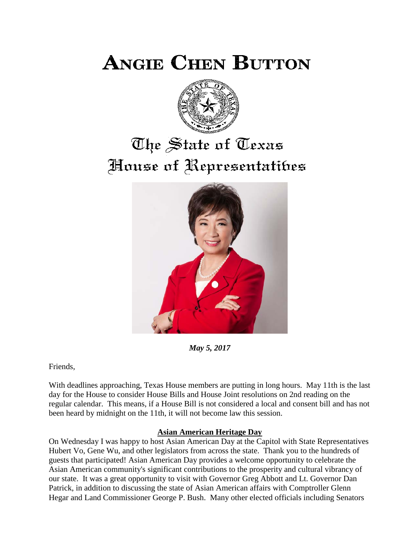**ANGIE CHEN BUTTON** 



# The State of Texas House of Representatibes



*May 5, 2017*

Friends,

With deadlines approaching, Texas House members are putting in long hours. May 11th is the last day for the House to consider House Bills and House Joint resolutions on 2nd reading on the regular calendar. This means, if a House Bill is not considered a local and consent bill and has not been heard by midnight on the 11th, it will not become law this session.

## **Asian American Heritage Day**

On Wednesday I was happy to host Asian American Day at the Capitol with State Representatives Hubert Vo, Gene Wu, and other legislators from across the state. Thank you to the hundreds of guests that participated! Asian American Day provides a welcome opportunity to celebrate the Asian American community's significant contributions to the prosperity and cultural vibrancy of our state. It was a great opportunity to visit with Governor Greg Abbott and Lt. Governor Dan Patrick, in addition to discussing the state of Asian American affairs with Comptroller Glenn Hegar and Land Commissioner George P. Bush. Many other elected officials including Senators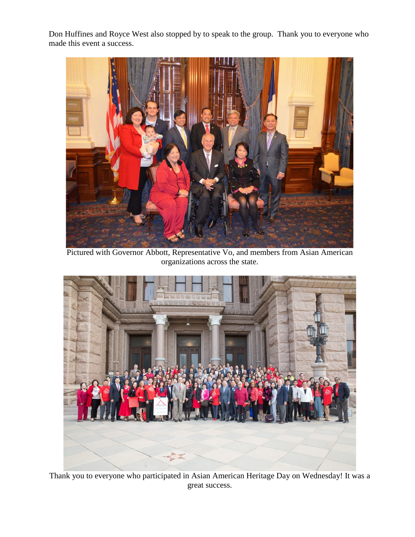Don Huffines and Royce West also stopped by to speak to the group. Thank you to everyone who made this event a success.



Pictured with Governor Abbott, Representative Vo, and members from Asian American organizations across the state.



Thank you to everyone who participated in Asian American Heritage Day on Wednesday! It was a great success.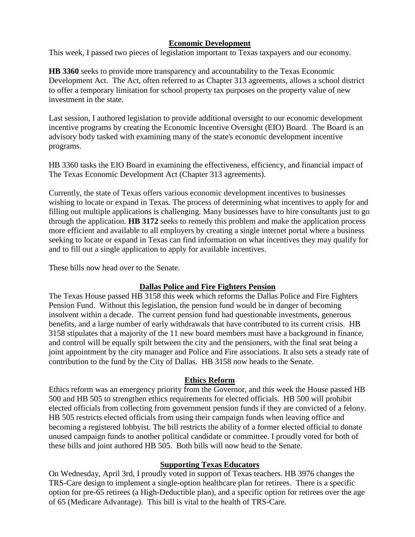## **Economic Development**

This week, I passed two pieces of legislation important to Texas taxpayers and our economy.

**HB 3360** seeks to provide more transparency and accountability to the Texas Economic Development Act. The Act, often referred to as Chapter 313 agreements, allows a school district to offer a temporary limitation for school property tax purposes on the property value of new investment in the state.

Last session, I authored legislation to provide additional oversight to our economic development incentive programs by creating the Economic Incentive Oversight (EIO) Board. The Board is an advisory body tasked with examining many of the state's economic development incentive programs.

HB 3360 tasks the EIO Board in examining the effectiveness, efficiency, and financial impact of The Texas Economic Development Act (Chapter 313 agreements).

Currently, the state of Texas offers various economic development incentives to businesses wishing to locate or expand in Texas. The process of determining what incentives to apply for and filling out multiple applications is challenging. Many businesses have to hire consultants just to go through the application. **HB 3172** seeks to remedy this problem and make the application process more efficient and available to all employers by creating a single internet portal where a business seeking to locate or expand in Texas can find information on what incentives they may qualify for and to fill out a single application to apply for available incentives.

These bills now head over to the Senate.

## **Dallas Police and Fire Fighters Pension**

The Texas House passed HB 3158 this week which reforms the Dallas Police and Fire Fighters Pension Fund. Without this legislation, the pension fund would be in danger of becoming insolvent within a decade. The current pension fund had questionable investments, generous benefits, and a large number of early withdrawals that have contributed to its current crisis. HB 3158 stipulates that a majority of the 11 new board members must have a background in finance, and control will be equally spilt between the city and the pensioners, with the final seat being a joint appointment by the city manager and Police and Fire associations. It also sets a steady rate of contribution to the fund by the City of Dallas. HB 3158 now heads to the Senate.

### **Ethics Reform**

Ethics reform was an emergency priority from the Governor, and this week the House passed HB 500 and HB 505 to strengthen ethics requirements for elected officials. HB 500 will prohibit elected officials from collecting from government pension funds if they are convicted of a felony. HB 505 restricts elected officials from using their campaign funds when leaving office and becoming a registered lobbyist. The bill restricts the ability of a former elected official to donate unused campaign funds to another political candidate or committee. I proudly voted for both of these bills and joint authored HB 505. Both bills will now head to the Senate.

### **Supporting Texas Educators**

On Wednesday, April 3rd, I proudly voted in support of Texas teachers. HB 3976 changes the TRS-Care design to implement a single-option healthcare plan for retirees. There is a specific option for pre-65 retirees (a High-Deductible plan), and a specific option for retirees over the age of 65 (Medicare Advantage). This bill is vital to the health of TRS-Care.